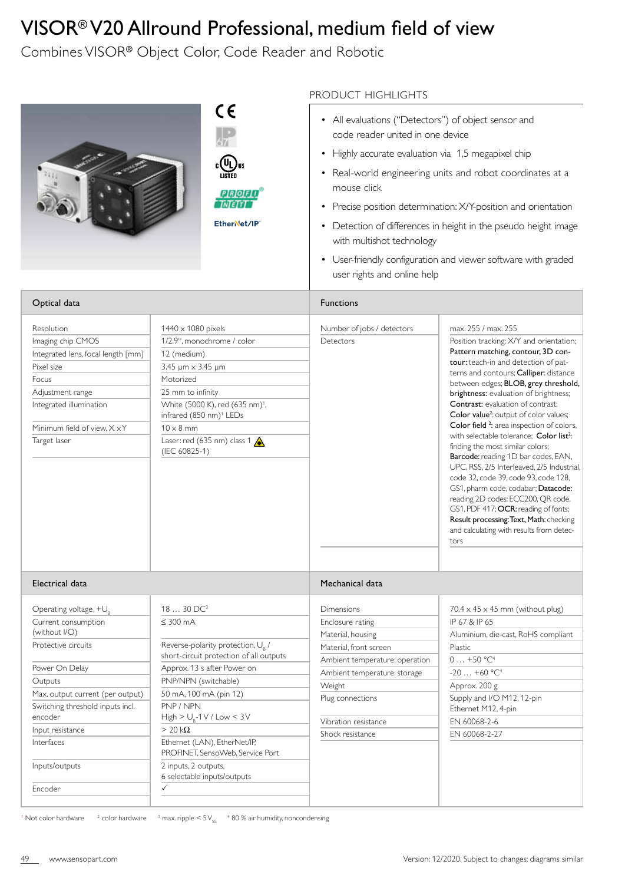## VISOR® V20 Allround Professional, medium field of view

Combines VISOR® Object Color, Code Reader and Robotic

|                                                                                                                                                                                             |                                                                                                                                                                                                                                                                                         | PRODUCT HIGHLIGHTS                                                                                                                                                                                                       |                                                                                                                                                                                                                                                                                                                                                                                                                                                                                                                                                                                                                                                                                                                                                                                                                                                                                 |
|---------------------------------------------------------------------------------------------------------------------------------------------------------------------------------------------|-----------------------------------------------------------------------------------------------------------------------------------------------------------------------------------------------------------------------------------------------------------------------------------------|--------------------------------------------------------------------------------------------------------------------------------------------------------------------------------------------------------------------------|---------------------------------------------------------------------------------------------------------------------------------------------------------------------------------------------------------------------------------------------------------------------------------------------------------------------------------------------------------------------------------------------------------------------------------------------------------------------------------------------------------------------------------------------------------------------------------------------------------------------------------------------------------------------------------------------------------------------------------------------------------------------------------------------------------------------------------------------------------------------------------|
|                                                                                                                                                                                             | CE<br>PIRIOIF<br>EtherNet/IP                                                                                                                                                                                                                                                            | • All evaluations ("Detectors") of object sensor and<br>code reader united in one device<br>Highly accurate evaluation via 1,5 megapixel chip<br>mouse click<br>with multishot technology<br>user rights and online help | • Real-world engineering units and robot coordinates at a<br>Precise position determination: X/Y-position and orientation<br>Detection of differences in height in the pseudo height image<br>• User-friendly configuration and viewer software with graded                                                                                                                                                                                                                                                                                                                                                                                                                                                                                                                                                                                                                     |
| Optical data                                                                                                                                                                                |                                                                                                                                                                                                                                                                                         | <b>Functions</b>                                                                                                                                                                                                         |                                                                                                                                                                                                                                                                                                                                                                                                                                                                                                                                                                                                                                                                                                                                                                                                                                                                                 |
| Resolution<br>Imaging chip CMOS<br>Integrated lens, focal length [mm]<br>Pixel size<br>Focus<br>Adjustment range<br>Integrated illumination<br>Minimum field of view, X x Y<br>Target laser | $1440 \times 1080$ pixels<br>1/2.9", monochrome / color<br>12 (medium)<br>3.45 µm × 3.45 µm<br>Motorized<br>25 mm to infinity<br>White (5000 K), red (635 nm) <sup>1</sup> ,<br>infrared (850 nm) <sup>1</sup> LEDs<br>$10 \times 8$ mm<br>Laser: red (635 nm) class 1<br>(IEC 60825-1) | Number of jobs / detectors<br>Detectors                                                                                                                                                                                  | max, 255 / max, 255<br>Position tracking: X/Y and orientation;<br>Pattern matching, contour, 3D con-<br>tour: teach-in and detection of pat-<br>terns and contours; Calliper: distance<br>between edges; BLOB, grey threshold,<br>brightness: evaluation of brightness;<br><b>Contrast:</b> evaluation of contrast:<br>Color value <sup>2</sup> : output of color values;<br>Color field <sup>2</sup> : area inspection of colors,<br>with selectable tolerance; Color list <sup>2</sup> :<br>finding the most similar colors;<br>Barcode: reading 1D bar codes, EAN,<br>UPC, RSS, 2/5 Interleaved, 2/5 Industrial,<br>code 32, code 39, code 93, code 128,<br>GS1, pharm code, codabar; Datacode:<br>reading 2D codes: ECC200, QR code,<br>GS1, PDF 417; OCR: reading of fonts;<br>Result processing: Text, Math: checking<br>and calculating with results from detec-<br>tors |
| Electrical data                                                                                                                                                                             |                                                                                                                                                                                                                                                                                         | Mechanical data                                                                                                                                                                                                          |                                                                                                                                                                                                                                                                                                                                                                                                                                                                                                                                                                                                                                                                                                                                                                                                                                                                                 |
| Operating voltage, $+U_{R}$<br>Current consumption                                                                                                                                          | $1830$ DC <sup>3</sup><br>$\leq 300$ mA                                                                                                                                                                                                                                                 | Dimensions<br>Enclosure rating                                                                                                                                                                                           | $70.4 \times 45 \times 45$ mm (without plug)<br>IP 67 & IP 65                                                                                                                                                                                                                                                                                                                                                                                                                                                                                                                                                                                                                                                                                                                                                                                                                   |
| (without I/O)<br>Protective circuits                                                                                                                                                        | Reverse-polarity protection, U <sub>0</sub> /                                                                                                                                                                                                                                           | Material, housing<br>Material, front screen                                                                                                                                                                              | Aluminium, die-cast, RoHS compliant<br>Plastic                                                                                                                                                                                                                                                                                                                                                                                                                                                                                                                                                                                                                                                                                                                                                                                                                                  |
| Power On Delay<br>Outputs<br>Max. output current (per output)<br>Switching threshold inputs incl.                                                                                           | short-circuit protection of all outputs<br>Approx. 13 s after Power on<br>PNP/NPN (switchable)<br>50 mA, 100 mA (pin 12)<br>PNP / NPN                                                                                                                                                   | Ambient temperature: operation<br>Ambient temperature: storage<br>Weight<br>Plug connections                                                                                                                             | $0+50 °C^4$<br>$-20+60 °C^4$<br>Approx. 200 g<br>Supply and I/O M12, 12-pin<br>Ethernet M12, 4-pin                                                                                                                                                                                                                                                                                                                                                                                                                                                                                                                                                                                                                                                                                                                                                                              |
| encoder<br>Input resistance<br>Interfaces                                                                                                                                                   | $High > Ua - 1 V / Low < 3 V$<br>$> 20 \text{ k}\Omega$<br>Ethernet (LAN), EtherNet/IP,                                                                                                                                                                                                 | Vibration resistance<br>Shock resistance                                                                                                                                                                                 | EN 60068-2-6<br>EN 60068-2-27                                                                                                                                                                                                                                                                                                                                                                                                                                                                                                                                                                                                                                                                                                                                                                                                                                                   |

Inputs/outputs

Encoder

 $1$  Not color hardware color hardware  $\frac{3}{3}$  max. ripple  $\leq 5$  V<sub>ss</sub>  $\frac{4}{3}$  80 % air humidity, noncondensing

 $\checkmark$ 

2 inputs, 2 outputs, 6 selectable inputs/outputs

PROFINET, SensoWeb, Service Port